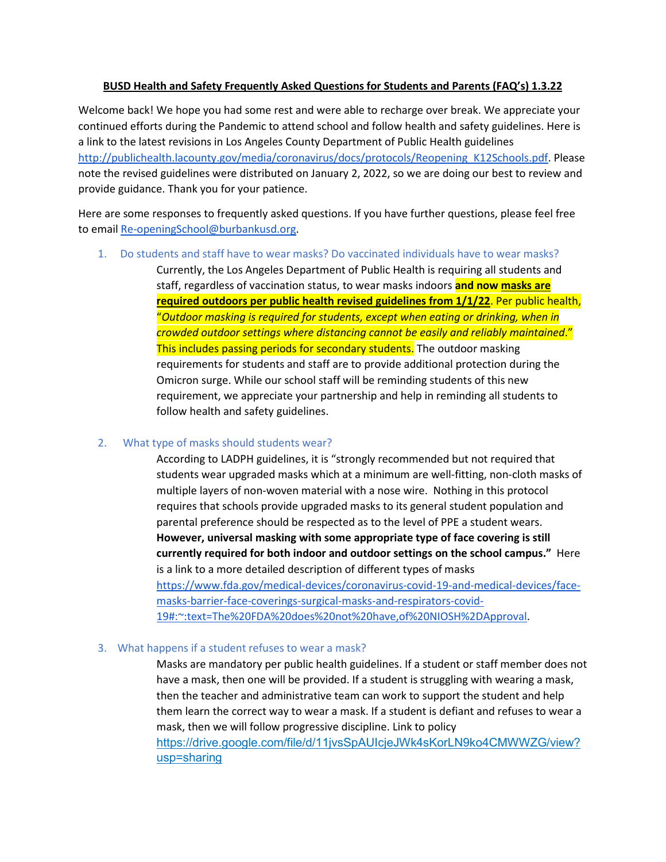## **BUSD Health and Safety Frequently Asked Questions for Students and Parents (FAQ's) 1.3.22**

Welcome back! We hope you had some rest and were able to recharge over break. We appreciate your continued efforts during the Pandemic to attend school and follow health and safety guidelines. Here is a link to the latest revisions in Los Angeles County Department of Public Health guidelines [http://publichealth.lacounty.gov/media/coronavirus/docs/protocols/Reopening\\_K12Schools.pdf.](http://publichealth.lacounty.gov/media/coronavirus/docs/protocols/Reopening_K12Schools.pdf) Please note the revised guidelines were distributed on January 2, 2022, so we are doing our best to review and provide guidance. Thank you for your patience.

Here are some responses to frequently asked questions. If you have further questions, please feel free to email [Re-openingSchool@burbankusd.org.](mailto:Re-openingSchool@burbankusd.org)

1. Do students and staff have to wear masks? Do vaccinated individuals have to wear masks?

Currently, the Los Angeles Department of Public Health is requiring all students and staff, regardless of vaccination status, to wear masks indoors **and now masks are required outdoors per public health revised guidelines from 1/1/22**. Per public health, "*Outdoor masking is required for students, except when eating or drinking, when in crowded outdoor settings where distancing cannot be easily and reliably maintained*." This includes passing periods for secondary students. The outdoor masking requirements for students and staff are to provide additional protection during the Omicron surge. While our school staff will be reminding students of this new requirement, we appreciate your partnership and help in reminding all students to follow health and safety guidelines.

## 2. What type of masks should students wear?

According to LADPH guidelines, it is "strongly recommended but not required that students wear upgraded masks which at a minimum are well-fitting, non-cloth masks of multiple layers of non-woven material with a nose wire. Nothing in this protocol requires that schools provide upgraded masks to its general student population and parental preference should be respected as to the level of PPE a student wears. **However, universal masking with some appropriate type of face covering is still currently required for both indoor and outdoor settings on the school campus."** Here is a link to a more detailed description of different types of masks [https://www.fda.gov/medical-devices/coronavirus-covid-19-and-medical-devices/face](https://www.fda.gov/medical-devices/coronavirus-covid-19-and-medical-devices/face-masks-barrier-face-coverings-surgical-masks-and-respirators-covid-19#:%7E:text=The%20FDA%20does%20not%20have,of%20NIOSH%2DApproval)[masks-barrier-face-coverings-surgical-masks-and-respirators-covid-](https://www.fda.gov/medical-devices/coronavirus-covid-19-and-medical-devices/face-masks-barrier-face-coverings-surgical-masks-and-respirators-covid-19#:%7E:text=The%20FDA%20does%20not%20have,of%20NIOSH%2DApproval)[19#:~:text=The%20FDA%20does%20not%20have,of%20NIOSH%2DApproval.](https://www.fda.gov/medical-devices/coronavirus-covid-19-and-medical-devices/face-masks-barrier-face-coverings-surgical-masks-and-respirators-covid-19#:%7E:text=The%20FDA%20does%20not%20have,of%20NIOSH%2DApproval)

## 3. What happens if a student refuses to wear a mask?

Masks are mandatory per public health guidelines. If a student or staff member does not have a mask, then one will be provided. If a student is struggling with wearing a mask, then the teacher and administrative team can work to support the student and help them learn the correct way to wear a mask. If a student is defiant and refuses to wear a mask, then we will follow progressive discipline. Link to policy [https://drive.google.com/file/d/11jvsSpAUIcjeJWk4sKorLN9ko4CMWWZG/view?](https://drive.google.com/file/d/11jvsSpAUIcjeJWk4sKorLN9ko4CMWWZG/view?usp=sharing) [usp=sharing](https://drive.google.com/file/d/11jvsSpAUIcjeJWk4sKorLN9ko4CMWWZG/view?usp=sharing)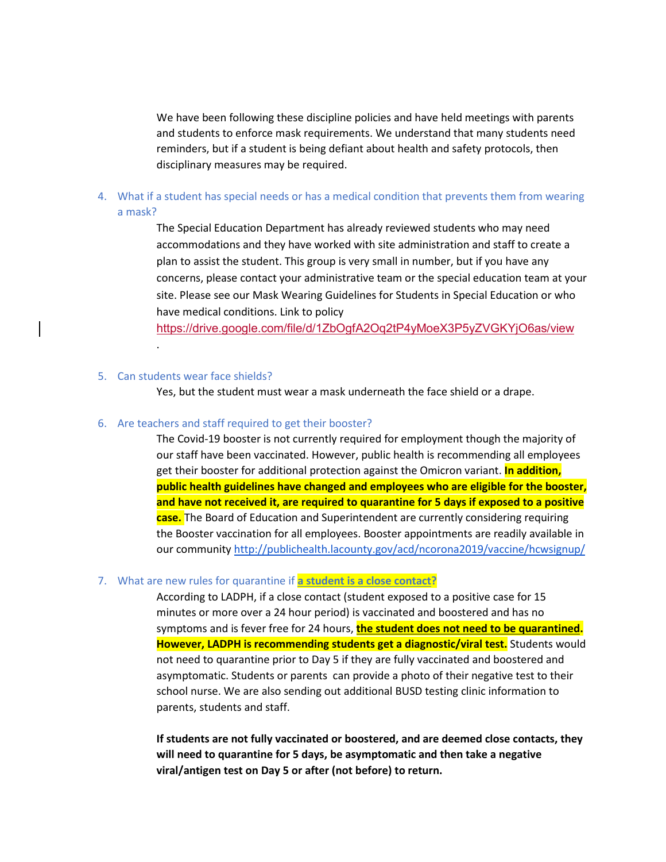We have been following these discipline policies and have held meetings with parents and students to enforce mask requirements. We understand that many students need reminders, but if a student is being defiant about health and safety protocols, then disciplinary measures may be required.

4. What if a student has special needs or has a medical condition that prevents them from wearing a mask?

> The Special Education Department has already reviewed students who may need accommodations and they have worked with site administration and staff to create a plan to assist the student. This group is very small in number, but if you have any concerns, please contact your administrative team or the special education team at your site. Please see our Mask Wearing Guidelines for Students in Special Education or who have medical conditions. Link to policy

<https://drive.google.com/file/d/1ZbOgfA2Oq2tP4yMoeX3P5yZVGKYjO6as/view>

### 5. Can students wear face shields?

.

Yes, but the student must wear a mask underneath the face shield or a drape.

### 6. Are teachers and staff required to get their booster?

The Covid-19 booster is not currently required for employment though the majority of our staff have been vaccinated. However, public health is recommending all employees get their booster for additional protection against the Omicron variant. **In addition, public health guidelines have changed and employees who are eligible for the booster, and have not received it, are required to quarantine for 5 days if exposed to a positive case.** The Board of Education and Superintendent are currently considering requiring the Booster vaccination for all employees. Booster appointments are readily available in our community<http://publichealth.lacounty.gov/acd/ncorona2019/vaccine/hcwsignup/>

### 7. What are new rules for quarantine if **a student is a close contact?**

According to LADPH, if a close contact (student exposed to a positive case for 15 minutes or more over a 24 hour period) is vaccinated and boostered and has no symptoms and is fever free for 24 hours, **the student does not need to be quarantined. However, LADPH is recommending students get a diagnostic/viral test.** Students would not need to quarantine prior to Day 5 if they are fully vaccinated and boostered and asymptomatic. Students or parents can provide a photo of their negative test to their school nurse. We are also sending out additional BUSD testing clinic information to parents, students and staff.

**If students are not fully vaccinated or boostered, and are deemed close contacts, they will need to quarantine for 5 days, be asymptomatic and then take a negative viral/antigen test on Day 5 or after (not before) to return.**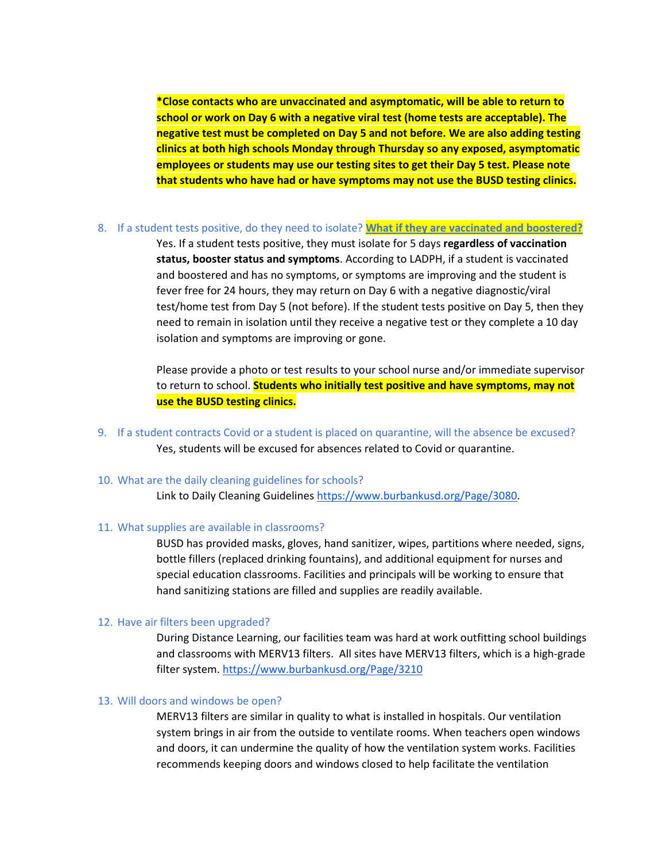**\*Close contacts who are unvaccinated and asymptomatic, will be able to return to school or work on Day 6 with a negative viral test (home tests are acceptable). The negative test must be completed on Day 5 and not before. We are also adding testing clinics at both high schools Monday through Thursday so any exposed, asymptomatic employees or students may use our testing sites to get their Day 5 test. Please note that students who have had or have symptoms may not use the BUSD testing clinics.**

### 8. If a student tests positive, do they need to isolate? **What if they are vaccinated and boostered?**

Yes. If a student tests positive, they must isolate for 5 days **regardless of vaccination status, booster status and symptoms**. According to LADPH, if a student is vaccinated and boostered and has no symptoms, or symptoms are improving and the student is fever free for 24 hours, they may return on Day 6 with a negative diagnostic/viral test/home test from Day 5 (not before). If the student tests positive on Day 5, then they need to remain in isolation until they receive a negative test or they complete a 10 day isolation and symptoms are improving or gone.

Please provide a photo or test results to your school nurse and/or immediate supervisor to return to school. **Students who initially test positive and have symptoms, may not use the BUSD testing clinics.** 

- 9. If a student contracts Covid or a student is placed on quarantine, will the absence be excused? Yes, students will be excused for absences related to Covid or quarantine.
- 10. What are the daily cleaning guidelines for schools?

Link to Daily Cleaning Guidelines [https://www.burbankusd.org/Page/3080.](https://www.burbankusd.org/Page/3080)

## 11. What supplies are available in classrooms?

BUSD has provided masks, gloves, hand sanitizer, wipes, partitions where needed, signs, bottle fillers (replaced drinking fountains), and additional equipment for nurses and special education classrooms. Facilities and principals will be working to ensure that hand sanitizing stations are filled and supplies are readily available.

## 12. Have air filters been upgraded?

During Distance Learning, our facilities team was hard at work outfitting school buildings and classrooms with MERV13 filters. All sites have MERV13 filters, which is a high-grade filter system[. https://www.burbankusd.org/Page/3210](https://www.burbankusd.org/Page/3210)

### 13. Will doors and windows be open?

MERV13 filters are similar in quality to what is installed in hospitals. Our ventilation system brings in air from the outside to ventilate rooms. When teachers open windows and doors, it can undermine the quality of how the ventilation system works. Facilities recommends keeping doors and windows closed to help facilitate the ventilation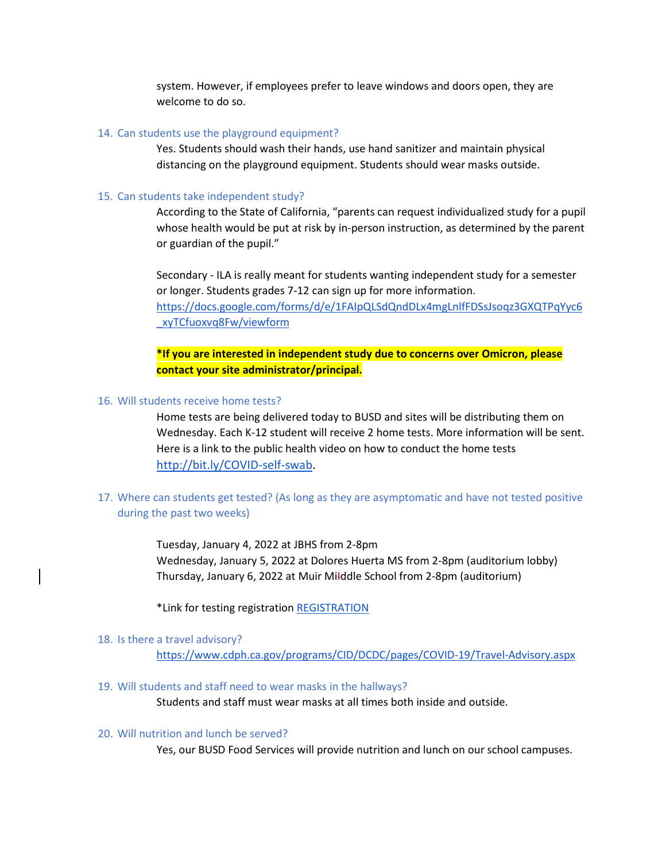system. However, if employees prefer to leave windows and doors open, they are welcome to do so.

### 14. Can students use the playground equipment?

Yes. Students should wash their hands, use hand sanitizer and maintain physical distancing on the playground equipment. Students should wear masks outside.

### 15. Can students take independent study?

According to the State of California, "parents can request individualized study for a pupil whose health would be put at risk by in-person instruction, as determined by the parent or guardian of the pupil."

Secondary - ILA is really meant for students wanting independent study for a semester or longer. Students grades 7-12 can sign up for more information. [https://docs.google.com/forms/d/e/1FAIpQLSdQndDLx4mgLnlfFDSsJsoqz3GXQTPqYyc6](https://docs.google.com/forms/d/e/1FAIpQLSdQndDLx4mgLnlfFDSsJsoqz3GXQTPqYyc6_xyTCfuoxvq8Fw/viewform) [\\_xyTCfuoxvq8Fw/viewform](https://docs.google.com/forms/d/e/1FAIpQLSdQndDLx4mgLnlfFDSsJsoqz3GXQTPqYyc6_xyTCfuoxvq8Fw/viewform)

**\*If you are interested in independent study due to concerns over Omicron, please contact your site administrator/principal.**

## 16. Will students receive home tests?

Home tests are being delivered today to BUSD and sites will be distributing them on Wednesday. Each K-12 student will receive 2 home tests. More information will be sent. Here is a link to the public health video on how to conduct the home tests [http://bit.ly/COVID-self-swab.](http://bit.ly/COVID-self-swab)

## 17. Where can students get tested? (As long as they are asymptomatic and have not tested positive during the past two weeks)

Tuesday, January 4, 2022 at JBHS from 2-8pm Wednesday, January 5, 2022 at Dolores Huerta MS from 2-8pm (auditorium lobby) Thursday, January 6, 2022 at Muir MiIddle School from 2-8pm (auditorium)

\*Link for testing registration [REGISTRATION](https://us-east-2.protection.sophos.com/?d=formdr.com&u=aHR0cHM6Ly9hcHAuZm9ybWRyLmNvbS9wcmFjdGljZS9NVFUyTmpNPS9mb3JtL0wwTDd1SERSX21uSWlLYkNweFlBcGdYVXVhOWFyN2F2&i=NWVhMGI5Y2JiMDIzNGIxMTk2NTMwZDYy&t=TXZ4N0Y0dGFQQWMzdWlUa2E3RnZ3RmFSOE5GTTcvNGdxZ0QwbXF1UGhkND0=&h=021447b90c57440f819beb79a1e29956)

### 18. Is there a travel advisory?

<https://www.cdph.ca.gov/programs/CID/DCDC/pages/COVID-19/Travel-Advisory.aspx>

### 19. Will students and staff need to wear masks in the hallways?

Students and staff must wear masks at all times both inside and outside.

### 20. Will nutrition and lunch be served?

Yes, our BUSD Food Services will provide nutrition and lunch on our school campuses.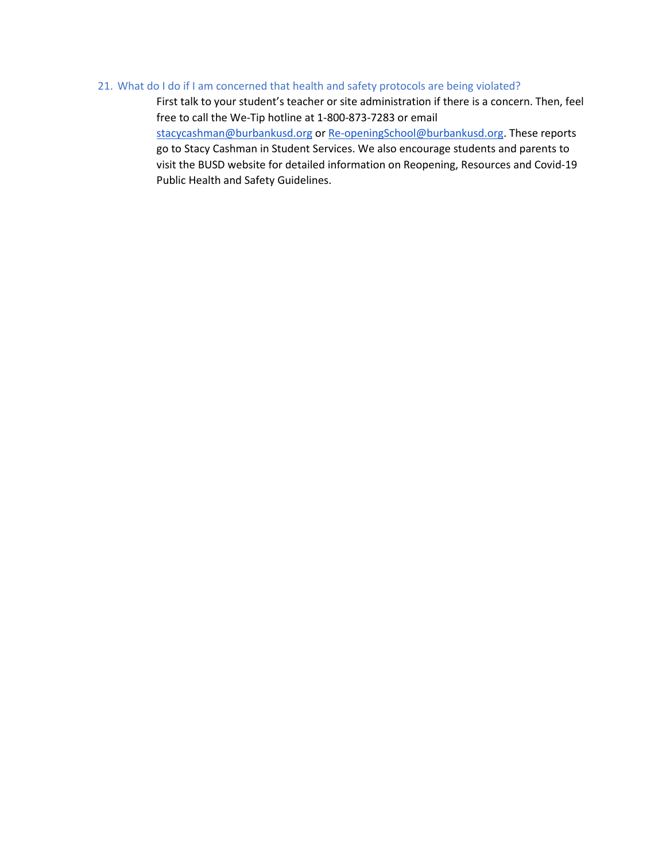### 21. What do I do if I am concerned that health and safety protocols are being violated?

First talk to your student's teacher or site administration if there is a concern. Then, feel free to call the We-Tip hotline at 1-800-873-7283 or email [stacycashman@burbankusd.org](mailto:stacycashman@burbankusd.org) or [Re-openingSchool@burbankusd.org.](mailto:Re-openingSchool@burbankusd.org) These reports go to Stacy Cashman in Student Services. We also encourage students and parents to visit the BUSD website for detailed information on Reopening, Resources and Covid-19 Public Health and Safety Guidelines.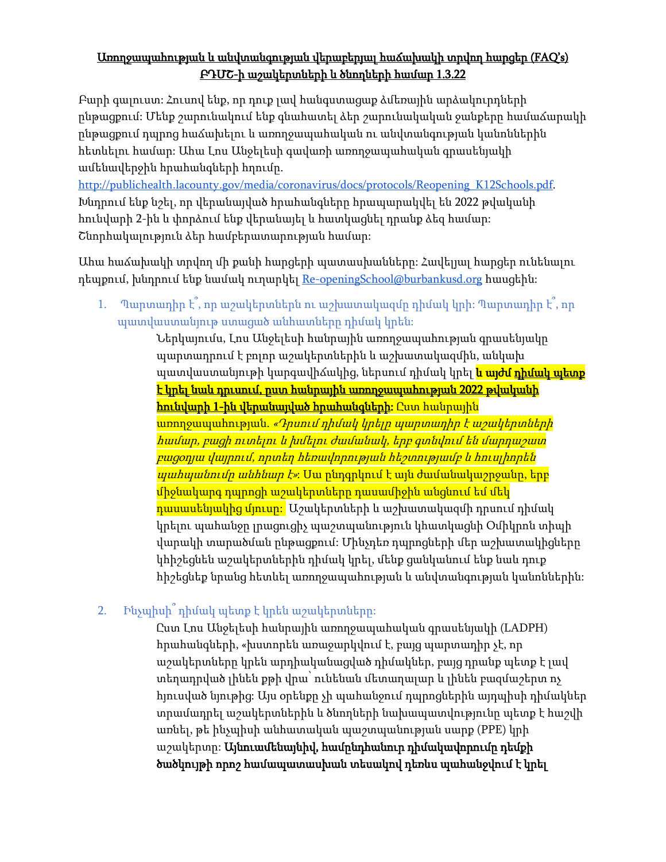# Առողջապահության և անվտանգության վերաբերյալ հաճախակի տրվող հարցեր (FAQ's) ԲԴՄՇ-ի աշակերտների և ծնողների համար 1.3.22

Բարի գալուստ: Հուսով ենք, որ դուք լավ հանգստացաք ձմեռային արձակուրդների ընթացքում: Մենք շարունակում ենք գնահատել ձեր շարունակական ջանքերը համաճարակի ընթացքում դպրոց հաճախելու և առողջապահական ու անվտանգության կանոններին հետևելու համար: Ահա Լոս Անջելեսի գավառի առողջապահական գրասենյակի ամենավերջին հրահանգների հղումը.

[http://publichealth.lacounty.gov/media/coronavirus/docs/protocols/Reopening\\_K12Schools.pdf.](http://publichealth.lacounty.gov/media/coronavirus/docs/protocols/Reopening_K12Schools.pdf) Խնդրում ենք նշել, որ վերանայված հրահանգները հրապարակվել են 2022 թվականի հունվարի 2-ին և փորձում ենք վերանայել և հատկացնել դրանք ձեզ համար: Շնորհակալություն ձեր համբերատարության համար:

Ահա հաճախակի տրվող մի քանի հարցերի պատասխանները: Հավելյալ հարցեր ունենալու դեպքում, խնդրում ենք նամակ ուղարկել [Re-openingSchool@burbankusd.org](mailto:Re-openingSchool@burbankusd.org) հասցեին:

1. Պարտադիր է՞, որ աշակերտներն ու աշխատակազմը դիմակ կրի: Պարտադիր է՞, որ պատվաստանյութ ստացած անհատները դիմակ կրեն:

Ներկայումս, Լոս Անջելեսի հանրային առողջապահության գրասենյակը պարտադրում է բոլոր աշակերտներին և աշխատակազմին, անկախ պատվաստանյութի կարգավիճակից, ներսում դիմակ կրել <mark>և այժմ <u>դիմակ պետ</u>ք</mark> <u>է կրել նաև դրւսում, ըստ հանրային առողջապահության 2022 թվականի</u> <mark>հունվարի 1-ին վերանայված հրահանգների։</mark> Ըստ հանրային <mark>առողջապահության. *«Դրսում դիմակ կրելը պարտադիր է աշակերտների*</mark> համար, բացի ուտելու և խմելու ժամանակ, երբ գտնվում են մարդաշատ բացօդյա վայրում, որտեղ հեռավորության հեշտությամբ և հուսլիորեն պահպանումը անհնար է»: Սա ընդգրկում է այն ժամանակաշրջանը, երբ միջնակարգ դպրոցի աշակերտները դասամիջին անցնում եմ մեկ <mark>դասասենյակից մյուսը։</mark> Աշակերտների և աշխատակազմի դրսում դիմակ կրելու պահանջը լրացուցիչ պաշտպանություն կհատկացնի Օմիկրոն տիպի վարակի տարածման ընթացքում: Մինչդեռ դպրոցների մեր աշխատակիցները կհիշեցնեն աշակերտներին դիմակ կրել, մենք ցանկանում ենք նաև դուք հիշեցնեք նրանց հետևել առողջապահության և անվտանգության կանոններին:

# 2. Ինչպիսի՞ դիմակ պետք է կրեն աշակերտները:

Ըստ Լոս Անջելեսի հանրային առողջապահական գրասենյակի (LADPH) հրահանգների, «խստորեն առաջարկվում է, բայց պարտադիր չէ, որ աշակերտները կրեն արդիականացված դիմակներ, բայց դրանք պետք է լավ տեղադրված լինեն քթի վրա՝ ունենան մետաղալար և լինեն բազմաշերտ ոչ հյուսված նյութից: Այս օրենքը չի պահանջում դպրոցներին այդպիսի դիմակներ տրամադրել աշակերտներին և ծնողների նախապատվությունը պետք է հաշվի առնել, թե ինչպիսի անհատական պաշտպանության սարք (PPE) կրի աշակերտը: Այնուամենայնիվ, համընդհանուր դիմակավորումը դեմքի ծածկույթի որոշ համապատասխան տեսակով դեռևս պահանջվում է կրել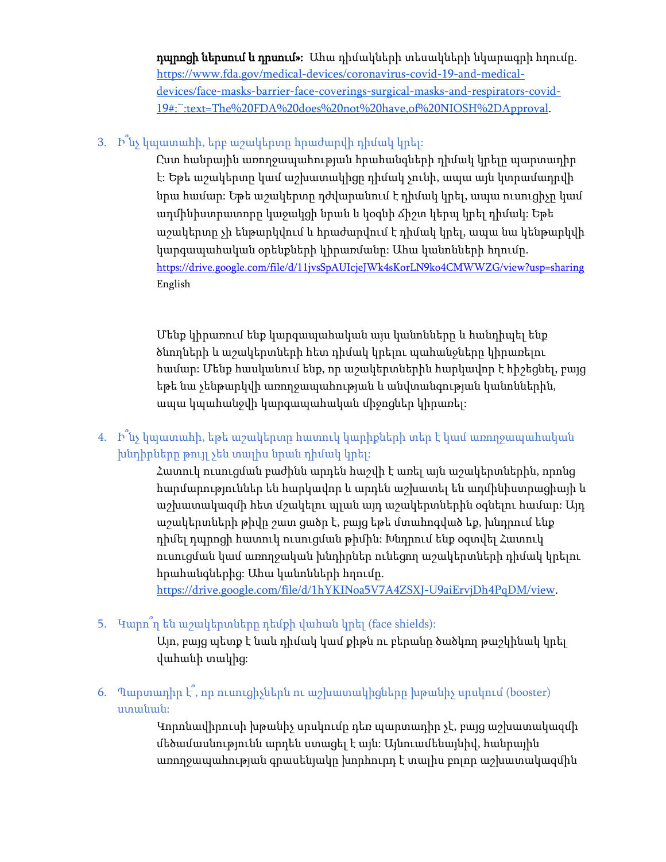դպրոցի ներսում և դրսում»: Ահա դիմակների տեսակների նկարագրի հղումը. [https://www.fda.gov/medical-devices/coronavirus-covid-19-and-medical](https://www.fda.gov/medical-devices/coronavirus-covid-19-and-medical-devices/face-masks-barrier-face-coverings-surgical-masks-and-respirators-covid-19#:%7E:text=The%20FDA%20does%20not%20have,of%20NIOSH%2DApproval)[devices/face-masks-barrier-face-coverings-surgical-masks-and-respirators-covid-](https://www.fda.gov/medical-devices/coronavirus-covid-19-and-medical-devices/face-masks-barrier-face-coverings-surgical-masks-and-respirators-covid-19#:%7E:text=The%20FDA%20does%20not%20have,of%20NIOSH%2DApproval)[19#:~:text=The%20FDA%20does%20not%20have,of%20NIOSH%2DApproval.](https://www.fda.gov/medical-devices/coronavirus-covid-19-and-medical-devices/face-masks-barrier-face-coverings-surgical-masks-and-respirators-covid-19#:%7E:text=The%20FDA%20does%20not%20have,of%20NIOSH%2DApproval)

# 3. Ի՞նչ կպատահի, երբ աշակերտը հրաժարվի դիմակ կրել:

Ըստ հանրային առողջապահության հրահանգների դիմակ կրելը պարտադիր է: Եթե աշակերտը կամ աշխատակիցը դիմակ չունի, ապա այն կտրամադրվի նրա համար: Եթե աշակերտը դժվարանում է դիմակ կրել, ապա ուսուցիչը կամ ադմինիստրատորը կաջակցի նրան և կօգնի ճիշտ կերպ կրել դիմակ: Եթե աշակերտը չի ենթարկվում և հրաժարվում է դիմակ կրել, ապա նա կենթարկվի կարգապահական օրենքների կիրառմանը: Ահա կանոնների հղումը. <https://drive.google.com/file/d/11jvsSpAUIcjeJWk4sKorLN9ko4CMWWZG/view?usp=sharing> English

Մենք կիրառում ենք կարգապահական այս կանոնները և հանդիպել ենք ծնողների և աշակերտների հետ դիմակ կրելու պահանջները կիրառելու համար: Մենք հասկանում ենք, որ աշակերտներին հարկավոր է հիշեցնել, բայց եթե նա չենթարկվի առողջապահության և անվտանգության կանոններին, ապա կպահանջվի կարգապահական միջոցներ կիրառել:

4. Ի՞նչ կպատահի, եթե աշակերտը հատուկ կարիքների տեր է կամ առողջապահական խնդիրները թույլ չեն տալիս նրան դիմակ կրել:

> Հատուկ ուսուցման բաժինն արդեն հաշվի է առել այն աշակերտներին, որոնց հարմարություններ են հարկավոր և արդեն աշխատել են ադմինիստրացիայի և աշխատակազմի հետ մշակելու պլան այդ աշակերտներին օգնելու համար: Այդ աշակերտների թիվը շատ ցածր է, բայց եթե մտահոգված եք, խնդրում ենք դիմել դպրոցի հատուկ ուսուցման թիմին: Խնդրում ենք օգտվել Հատուկ ուսուցման կամ առողջական խնդիրներ ունեցող աշակերտների դիմակ կրելու հրահանգներից: Ահա կանոնների հղումը.

[https://drive.google.com/file/d/1hYKINoa5V7A4ZSXJ-U9aiErvjDh4PqDM/view.](https://drive.google.com/file/d/1hYKINoa5V7A4ZSXJ-U9aiErvjDh4PqDM/view)

5. Կարո՞ղ են աշակերտները դեմքի վահան կրել (face shields):

Այո, բայց պետք է նաև դիմակ կամ քիթն ու բերանը ծածկող թաշկինակ կրել վահանի տակից:

6. Պարտադիր է՞, որ ուսուցիչներն ու աշխատակիցները խթանիչ սրսկում (booster) ստանան:

> Կորոնավիրուսի խթանիչ սրսկումը դեռ պարտադիր չէ, բայց աշխատակազմի մեծամասնությունն արդեն ստացել է այն: Այնուամենայնիվ, հանրային առողջապահության գրասենյակը խորհուրդ է տալիս բոլոր աշխատակազմին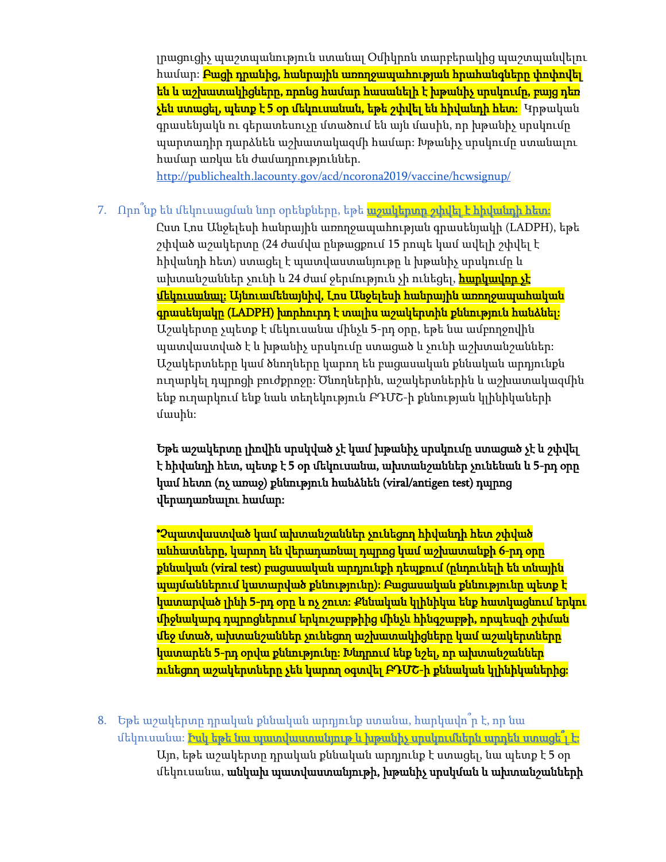լրացուցիչ պաշտպանություն ստանալ Օմիկրոն տարբերակից պաշտպանվելու համար։ <mark>Բացի դրանից, հանրային առողջապահության հրահանգները փոփովել</mark> են և աշխատակիցները, որոնց համար հասանելի է խթանիչ սրսկումը, բայց դեռ չեն ստացել, պետք է 5 օր մեկուսանան, եթե շփվել են հիվանդի հետ։ Կրթական գրասենյակն ու գերատեսուչը մտածում են այն մասին, որ խթանիչ սրսկումը պարտադիր դարձնեն աշխատակազմի համար: Խթանիչ սրսկումը ստանալու համար առկա են ժամադրություններ.

<http://publichealth.lacounty.gov/acd/ncorona2019/vaccine/hcwsignup/>

# 7. Որո<sup>՞</sup>նք են մեկուսացման նոր օրենքները, եթե <mark>աշակերտը շփվել է հիվանդի հետ։</mark>

Ըստ Լոս Անջելեսի հանրային առողջապահության գրասենյակի (LADPH), եթե շփված աշակերտը (24 ժամվա ընթացքում 15 րոպե կամ ավելի շփվել է հիվանդի հետ) ստացել է պատվաստանյութը և խթանիչ սրսկումը և ախտանշաններ չունի և 24 ժամ ջերմություն չի ունեցել, <mark>հարկավոր չէ</mark> մեկուսանալ: Այնուամենայնիվ, Լոս Անջելեսի հանրային առողջապահական գրասենյակը (LADPH) խորհուրդ է տալիս աշակերտին քննություն հանձնել: Աշակերտը չպետք է մեկուսանա մինչև 5-րդ օրը, եթե նա ամբողջովին պատվաստված է և խթանիչ սրսկումը ստացած և չունի աշխտանշաններ: Աշակերտները կամ ծնողները կարող են բացասական քննական արդյունքն ուղարկել դպրոցի բուժքրոջը: Ծնողներին, աշակերտներին և աշխատակազմին ենք ուղարկում ենք նաև տեղեկություն ԲԴՄՇ-ի քննության կլինիկաների մասին:

Եթե աշակերտը լիովին սրսկված չէ կամ խթանիչ սրսկումը ստացած չէ և շփվել է հիվանդի հետ, պետք է 5 օր մեկուսանա, ախտանշաններ չունենան և 5-րդ օրը կամ հետո (ոչ առաջ) քննություն հանձնեն (viral/antigen test) դպրոց վերադառնալու համար:

\*Չպատվաստված կամ ախտանշաններ չունեցող հիվանդի հետ շփված անհատները, կարող են վերադառնալ դպրոց կամ աշխատանքի 6-րդ օրը քննական (viral test) բացասական արդյունքի դեպքում (ընդունելի են տնային պայմաններում կատարված քննությունը): Բացասական քննությունը պետք է կատարված լինի 5-րդ օրը և ոչ շուտ: Քննական կլինիկա ենք հատկացնում երկու միջնակարգ դպրոցներում երկուշաբթիից մինչև հինգշաբթի, որպեսզի շփման մեջ մտած, ախտանշաններ չունեցող աշխատակիցները կամ աշակերտները կատարեն 5-րդ օրվա քննությունը: Խնդրում ենք նշել, որ ախտանշաններ ունեցող աշակերտները չեն կարող օգտվել ԲԴՄՇ-ի քննական կլինիկաներից:

8. Եթե աշակերտը դրական քննական արդյունք ստանա, հարկավո՞ր է, որ նա մեկուսանա։ <mark>Իսկ եթե նա պատվաստանյութ և խթանիչ սրսկումներն արդեն ստացե՞լ է։</mark> Այո, եթե աշակերտը դրական քննական արդյունք է ստացել, նա պետք է 5 օր մեկուսանա, անկախ պատվաստանյութի, խթանիչ սրսկման և ախտանշանների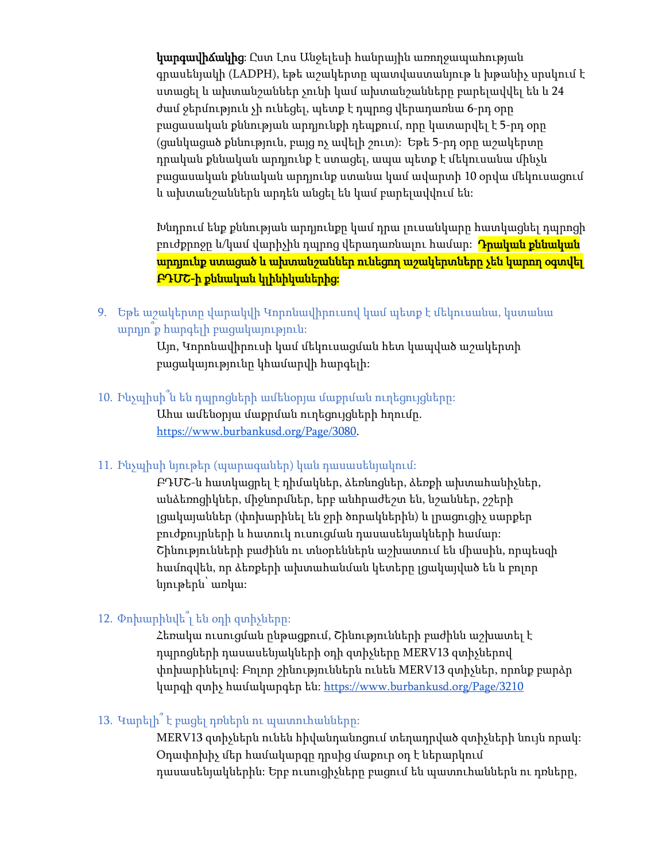կարգավիճակից: Ըստ Լոս Անջելեսի հանրային առողջապահության գրասենյակի (LADPH), եթե աշակերտը պատվաստանյութ և խթանիչ սրսկում է ստացել և ախտանշաններ չունի կամ ախտանշանները բարելավվել են և 24 ժամ ջերմություն չի ունեցել, պետք է դպրոց վերադառնա 6-րդ օրը բացասական քննության արդյունքի դեպքում, որը կատարվել է 5-րդ օրը (ցանկացած քննություն, բայց ոչ ավելի շուտ): Եթե 5-րդ օրը աշակերտը դրական քննական արդյունք է ստացել, ապա պետք է մեկուսանա մինչև բացասական քննական արդյունք ստանա կամ ավարտի 10 օրվա մեկուսացում և ախտանշաններն արդեն անցել են կամ բարելավվում են:

Խնդրում ենք քննության արդյունքը կամ դրա լուսանկարը հատկացնել դպրոցի բուժքրոջը և/կամ վարիչին դպրոց վերադառնալու համար։ <mark>Դրական քննական</mark> արդյունք ստացած և ախտանշաններ ունեցող աշակերտները չեն կարող օգտվել ԲԴՄՇ-ի քննական կլինիկաներից:

9. Եթե աշակերտը վարակվի Կորոնավիրուսով կամ պետք է մեկուսանա, կստանա արդյո՞ք հարգելի բացակայություն:

> Այո, Կորոնավիրուսի կամ մեկուսացման հետ կապված աշակերտի բացակայությունը կհամարվի հարգելի:

10. Ինչպիսի՞ն են դպրոցների ամենօրյա մաքրման ուղեցույցները:

Ահա ամենօրյա մաքրման ուղեցույցների հղումը. [https://www.burbankusd.org/Page/3080.](https://www.burbankusd.org/Page/3080)

11. Ինչպիսի նյութեր (պարագաներ) կան դասասենյակում:

ԲԴՄՇ-ն հատկացրել է դիմակներ, ձեռնոցներ, ձեռքի ախտահանիչներ, անձեռոցիկներ, միջնորմներ, երբ անհրաժեշտ են, նշաններ, շշերի լցակայաններ (փոխարինել են ջրի ծորակներին) և լրացուցիչ սարքեր բուժքույրների և հատուկ ուսուցման դասասենյակների համար: Շինությունների բաժինն ու տնօրեններն աշխատում են միասին, որպեսզի համոզվեն, որ ձեռքերի ախտահանման կետերը լցակայված են և բոլոր նյութերն՝ առկա:

# 12. Փոխարինվե՞լ են օդի զտիչները:

Հեռակա ուսուցման ընթացքում, Շինությունների բաժինն աշխատել է դպրոցների դասասենյակների օդի զտիչները MERV13 զտիչներով փոխարինելով: Բոլոր շինություններն ունեն MERV13 զտիչներ, որոնք բարձր կարգի զտիչ համակարգեր են։ https://www.burbankusd.org/Page/3210

# 13. Կարելի՞ է բացել դռներն ու պատուհանները:

MERV13 զտիչներն ունեն հիվանդանոցում տեղադրված զտիչների նույն որակ: Օդափոխիչ մեր համակարգը դրսից մաքուր օդ է ներարկում դասասենյակներին: Երբ ուսուցիչները բացում են պատուհաններն ու դռները,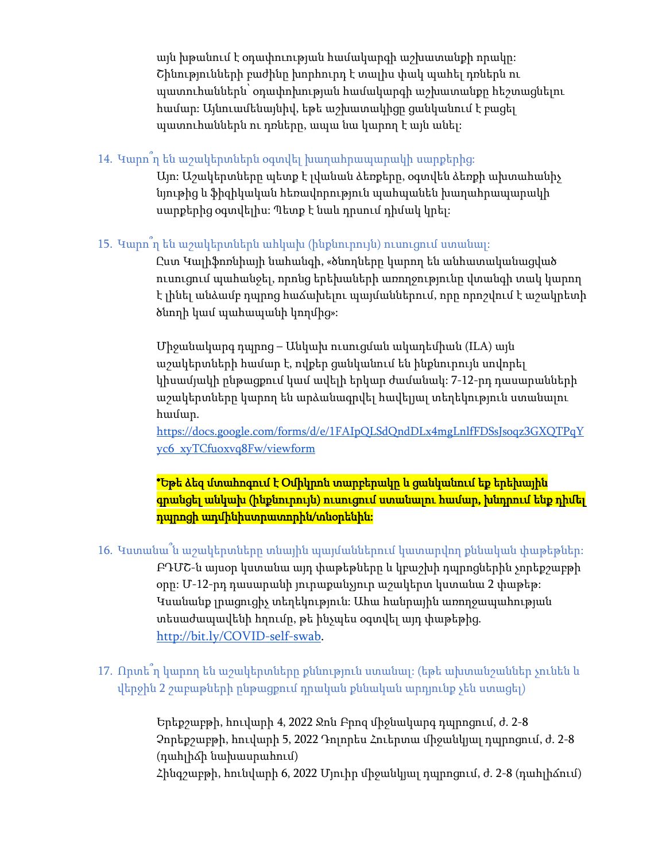այն խթանում է օդափուության համակարգի աշխատանքի որակը: Շինությունների բաժինը խորհուրդ է տալիս փակ պահել դռներն ու պատուհաններն՝ օդափոխության համակարգի աշխատանքը հեշտացնելու համար: Այնուամենայնիվ, եթե աշխատակիցը ցանկանում է բացել պատուհաններն ու դռները, ապա նա կարող է այն անել:

# 14. Կարո՞ղ են աշակերտներն օգտվել խաղահրապարակի սարքերից:

Այո: Աշակերտները պետք է լվանան ձեռքերը, օգտվեն ձեռքի ախտահանիչ նյութից և ֆիզիկական հեռավորություն պահպանեն խաղահրապարակի սարքերից օգտվելիս: Պետք է նաև դրսում դիմակ կրել:

# 15. Կարո՞ղ են աշակերտներն ահկախ (ինքնուրույն) ուսուցում ստանալ:

Ըստ Կալիֆոռնիայի նահանգի, «ծնողները կարող են անհատականացված ուսուցում պահանջել, որոնց երեխաների առողջությունը վտանգի տակ կարող է լինել անձամբ դպրոց հաճախելու պայմաններում, որը որոշվում է աշակրետի ծնողի կամ պահապանի կողմից»:

Միջանակարգ դպրոց – Անկախ ուսուցման ակադեմիան (ILA) այն աշակերտների համար է, ովքեր ցանկանում են ինքնուրույն սովորել կիսամյակի ընթացքում կամ ավելի երկար ժամանակ: 7-12-րդ դասարանների աշակերտները կարող են արձանագրվել հավելյալ տեղեկություն ստանալու համար.

[https://docs.google.com/forms/d/e/1FAIpQLSdQndDLx4mgLnlfFDSsJsoqz3GXQTPqY](https://docs.google.com/forms/d/e/1FAIpQLSdQndDLx4mgLnlfFDSsJsoqz3GXQTPqYyc6_xyTCfuoxvq8Fw/viewform) [yc6\\_xyTCfuoxvq8Fw/viewform](https://docs.google.com/forms/d/e/1FAIpQLSdQndDLx4mgLnlfFDSsJsoqz3GXQTPqYyc6_xyTCfuoxvq8Fw/viewform)

\*Եթե ձեզ մտահոգում է Օմիկրոն տարբերակը և ցանկանում եք երեխային գրանցել անկախ (ինքնուրույն) ուսուցում ստանալու համար, խնդրում ենք դիմել դպրոցի ադմինիստրատորին/տնօրենին:

16. Կստանա՞ն աշակերտները տնային պայմաններում կատարվող քննական փաթեթներ: ԲԴՄՇ-ն այսօր կստանա այդ փաթեթները և կբաշխի դպրոցներին չորեքշաբթի օրը: Մ-12-րդ դասարանի յուրաքանչյուր աշակերտ կստանա 2 փաթեթ: Կսանանք լրացուցիչ տեղեկություն: Ահա հանրային առողջապահության տեսաժապավենի հղումը, թե ինչպես օգտվել այդ փաթեթից. [http://bit.ly/COVID-self-swab.](http://bit.ly/COVID-self-swab)

# 17. Որտե՞ղ կարող են աշակերտները քննություն ստանալ: (եթե ախտանշաններ չունեն և վերջին 2 շաբաթների ընթացքում դրական քննական արդյունք չեն ստացել)

Երեքշաբթի, հուվարի 4, 2022 Ջոն Բրոզ միջնակարգ դպրոցում, ժ. 2-8 Չորեքշաբթի, հուվարի 5, 2022 Դոլորես Հուերտա միջանկյալ դպրոցում, ժ. 2-8 (դահլիճի նախասրահում) Հինգշաբթի, հունվարի 6, 2022 Մյուիր միջանկյալ դպրոցում, ժ. 2-8 (դահլիճում)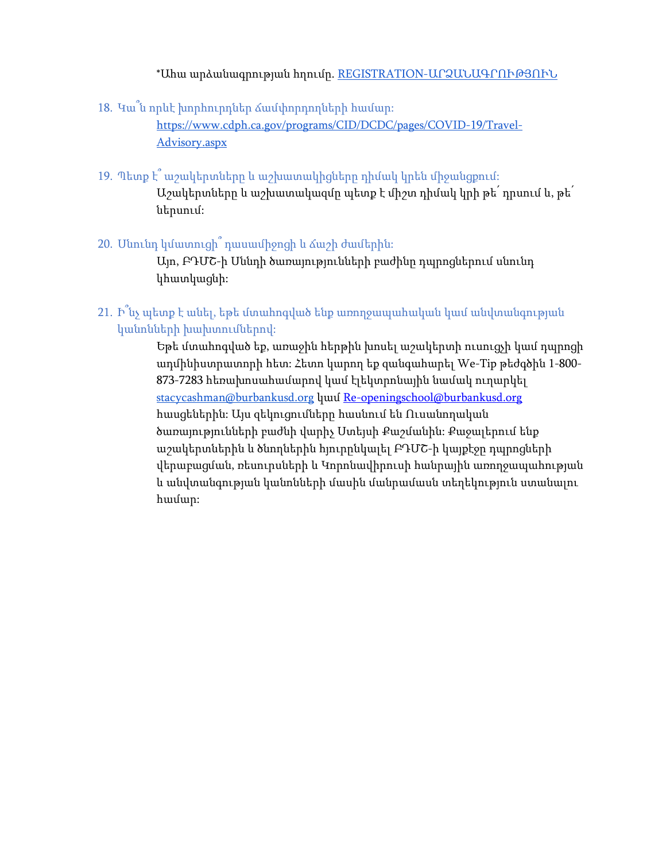\*Ահա արձանագրության հղումը. [REGISTRATION-](https://us-east-2.protection.sophos.com/?d=formdr.com&u=aHR0cHM6Ly9hcHAuZm9ybWRyLmNvbS9wcmFjdGljZS9NVFUyTmpNPS9mb3JtL0wwTDd1SERSX21uSWlLYkNweFlBcGdYVXVhOWFyN2F2&i=NWVhMGI5Y2JiMDIzNGIxMTk2NTMwZDYy&t=TXZ4N0Y0dGFQQWMzdWlUa2E3RnZ3RmFSOE5GTTcvNGdxZ0QwbXF1UGhkND0=&h=021447b90c57440f819beb79a1e29956)ԱՐՁԱՆԱԳՐՈՒԹՅՈՒՆ

18. Կա՞ն որևէ խորհուրդներ ճամփորդողների համար:

[https://www.cdph.ca.gov/programs/CID/DCDC/pages/COVID-19/Travel-](https://www.cdph.ca.gov/programs/CID/DCDC/pages/COVID-19/Travel-Advisory.aspx)[Advisory.aspx](https://www.cdph.ca.gov/programs/CID/DCDC/pages/COVID-19/Travel-Advisory.aspx)

- 19. Պետք է՞ աշակերտները և աշխատակիցները դիմակ կրեն միջանցքում: Աշակերտները և աշխատակազմը պետք է միշտ դիմակ կրի թե՛ դրսում և, թե՛ ներսում:
- 20. Սնունդ կմատուցի՞ դասամիջոցի և ճաշի ժամերին:

Այո, ԲԴՄՇ-ի Սննդի ծառայությունների բաժինը դպրոցներում սնունդ կհատկացնի:

21. Ի՞նչ պետք է անել, եթե մտահոգված ենք առողջապահական կամ անվտանգության կանոնների խախտումներով:

> Եթե մտահոգված եք, առաջին հերթին խոսել աշակերտի ուսուցչի կամ դպրոցի ադմինիստրատորի հետ: Հետո կարող եք զանգահարել We-Tip թեժգծին 1-800- 873-7283 հեռախոսահամարով կամ էլեկտրոնային նամակ ուղարկել [stacycashman@burbankusd.org](mailto:stacycashman@burbankusd.org) կամ [Re-openingschool@burbankusd.org](mailto:Re-openingschool@burbankusd.org) հասցեներին: Այս զեկուցումները հասնում են Ուսանողական ծառայությունների բաժնի վարիչ Ստեյսի Քաշմանին: Քաջալերում ենք աշակերտներին և ծնողներին հյուրընկալել ԲԴՄՇ-ի կայքէջը դպրոցների վերաբացման, ռեսուրսների և Կորոնավիրուսի հանրային առողջապահության և անվտանգության կանոնների մասին մանրամասն տեղեկություն ստանալու համար: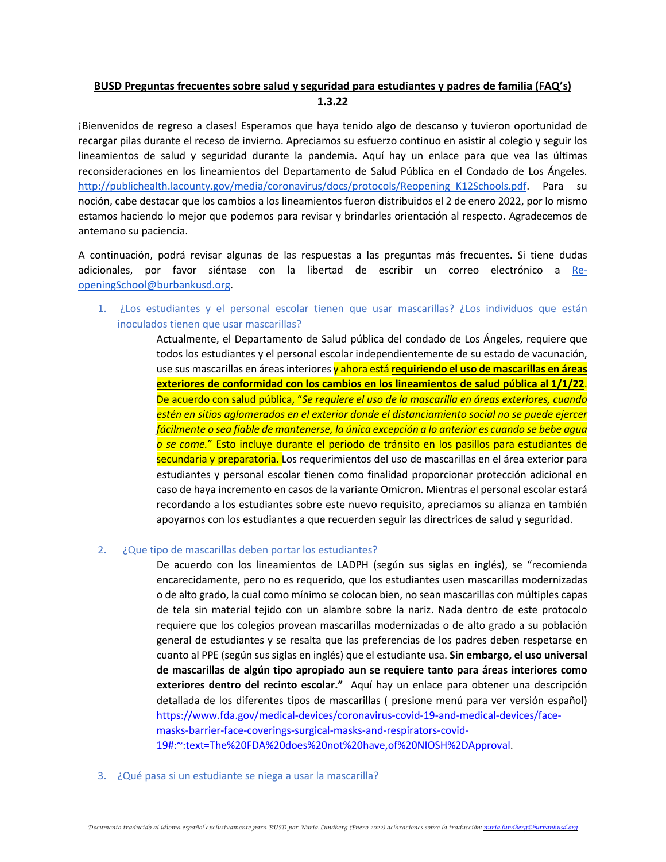# **BUSD Preguntas frecuentes sobre salud y seguridad para estudiantes y padres de familia (FAQ's) 1.3.22**

¡Bienvenidos de regreso a clases! Esperamos que haya tenido algo de descanso y tuvieron oportunidad de recargar pilas durante el receso de invierno. Apreciamos su esfuerzo continuo en asistir al colegio y seguir los lineamientos de salud y seguridad durante la pandemia. Aquí hay un enlace para que vea las últimas reconsideraciones en los lineamientos del Departamento de Salud Pública en el Condado de Los Ángeles. http://publichealth.lacounty.gov/media/coronavirus/docs/protocols/Reopening K12Schools.pdf. Para su noción, cabe destacar que los cambios a los lineamientos fueron distribuidos el 2 de enero 2022, por lo mismo estamos haciendo lo mejor que podemos para revisar y brindarles orientación al respecto. Agradecemos de antemano su paciencia.

A continuación, podrá revisar algunas de las respuestas a las preguntas más frecuentes. Si tiene dudas adicionales, por favor siéntase con la libertad de escribir un correo electrónico a [Re](mailto:Re-openingSchool@burbankusd.org)[openingSchool@burbankusd.org.](mailto:Re-openingSchool@burbankusd.org)

1. ¿Los estudiantes y el personal escolar tienen que usar mascarillas? ¿Los individuos que están inoculados tienen que usar mascarillas?

> Actualmente, el Departamento de Salud pública del condado de Los Ángeles, requiere que todos los estudiantes y el personal escolar independientemente de su estado de vacunación, use sus mascarillas en áreas interiores y ahora está **requiriendo el uso de mascarillas en áreas exteriores de conformidad con los cambios en los lineamientos de salud pública al 1/1/22**. De acuerdo con salud pública, "*Se requiere el uso de la mascarilla en áreas exteriores, cuando estén en sitios aglomerados en el exterior donde el distanciamiento social no se puede ejercer fácilmente o sea fiable de mantenerse, la única excepción a lo anterior es cuando se bebe agua o se come.*" Esto incluye durante el periodo de tránsito en los pasillos para estudiantes de secundaria y preparatoria. Los requerimientos del uso de mascarillas en el área exterior para estudiantes y personal escolar tienen como finalidad proporcionar protección adicional en caso de haya incremento en casos de la variante Omicron. Mientras el personal escolar estará recordando a los estudiantes sobre este nuevo requisito, apreciamos su alianza en también apoyarnos con los estudiantes a que recuerden seguir las directrices de salud y seguridad.

### 2. ¿Que tipo de mascarillas deben portar los estudiantes?

De acuerdo con los lineamientos de LADPH (según sus siglas en inglés), se "recomienda encarecidamente, pero no es requerido, que los estudiantes usen mascarillas modernizadas o de alto grado, la cual como mínimo se colocan bien, no sean mascarillas con múltiples capas de tela sin material tejido con un alambre sobre la nariz. Nada dentro de este protocolo requiere que los colegios provean mascarillas modernizadas o de alto grado a su población general de estudiantes y se resalta que las preferencias de los padres deben respetarse en cuanto al PPE (según sus siglas en inglés) que el estudiante usa. **Sin embargo, el uso universal de mascarillas de algún tipo apropiado aun se requiere tanto para áreas interiores como exteriores dentro del recinto escolar."** Aquí hay un enlace para obtener una descripción detallada de los diferentes tipos de mascarillas ( presione menú para ver versión español) [https://www.fda.gov/medical-devices/coronavirus-covid-19-and-medical-devices/face](https://www.fda.gov/medical-devices/coronavirus-covid-19-and-medical-devices/face-masks-barrier-face-coverings-surgical-masks-and-respirators-covid-19#:%7E:text=The%20FDA%20does%20not%20have,of%20NIOSH%2DApproval)[masks-barrier-face-coverings-surgical-masks-and-respirators-covid-](https://www.fda.gov/medical-devices/coronavirus-covid-19-and-medical-devices/face-masks-barrier-face-coverings-surgical-masks-and-respirators-covid-19#:%7E:text=The%20FDA%20does%20not%20have,of%20NIOSH%2DApproval)[19#:~:text=The%20FDA%20does%20not%20have,of%20NIOSH%2DApproval.](https://www.fda.gov/medical-devices/coronavirus-covid-19-and-medical-devices/face-masks-barrier-face-coverings-surgical-masks-and-respirators-covid-19#:%7E:text=The%20FDA%20does%20not%20have,of%20NIOSH%2DApproval)

3. ¿Qué pasa si un estudiante se niega a usar la mascarilla?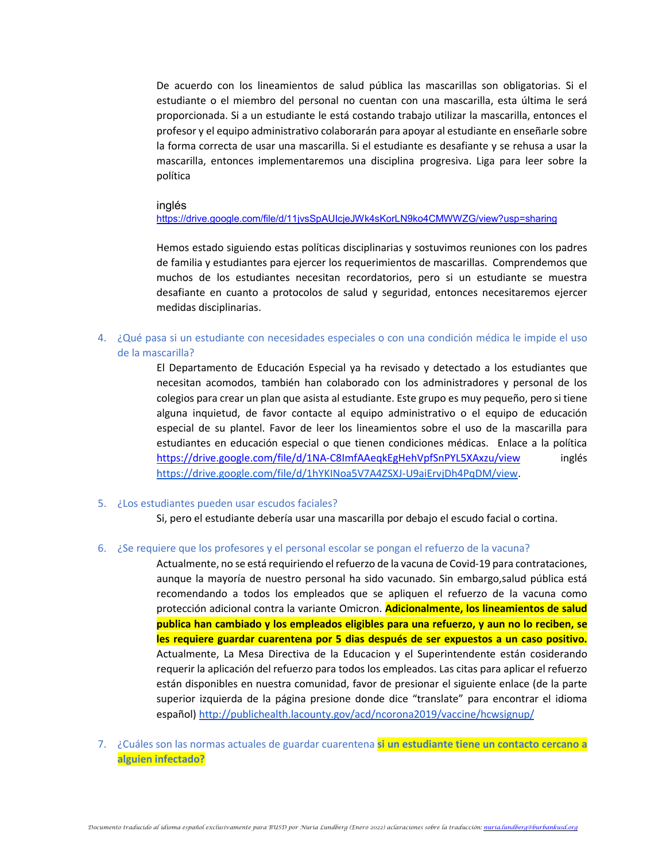De acuerdo con los lineamientos de salud pública las mascarillas son obligatorias. Si el estudiante o el miembro del personal no cuentan con una mascarilla, esta última le será proporcionada. Si a un estudiante le está costando trabajo utilizar la mascarilla, entonces el profesor y el equipo administrativo colaborarán para apoyar al estudiante en enseñarle sobre la forma correcta de usar una mascarilla. Si el estudiante es desafiante y se rehusa a usar la mascarilla, entonces implementaremos una disciplina progresiva. Liga para leer sobre la política

#### inglés

<https://drive.google.com/file/d/11jvsSpAUIcjeJWk4sKorLN9ko4CMWWZG/view?usp=sharing>

Hemos estado siguiendo estas políticas disciplinarias y sostuvimos reuniones con los padres de familia y estudiantes para ejercer los requerimientos de mascarillas. Comprendemos que muchos de los estudiantes necesitan recordatorios, pero si un estudiante se muestra desafiante en cuanto a protocolos de salud y seguridad, entonces necesitaremos ejercer medidas disciplinarias.

4. ¿Qué pasa si un estudiante con necesidades especiales o con una condición médica le impide el uso de la mascarilla?

> El Departamento de Educación Especial ya ha revisado y detectado a los estudiantes que necesitan acomodos, también han colaborado con los administradores y personal de los colegios para crear un plan que asista al estudiante. Este grupo es muy pequeño, pero si tiene alguna inquietud, de favor contacte al equipo administrativo o el equipo de educación especial de su plantel. Favor de leer los lineamientos sobre el uso de la mascarilla para estudiantes en educación especial o que tienen condiciones médicas. Enlace a la política <https://drive.google.com/file/d/1NA-C8ImfAAeqkEgHehVpfSnPYL5XAxzu/view> inglés [https://drive.google.com/file/d/1hYKINoa5V7A4ZSXJ-U9aiErvjDh4PqDM/view.](https://drive.google.com/file/d/1hYKINoa5V7A4ZSXJ-U9aiErvjDh4PqDM/view)

5. ¿Los estudiantes pueden usar escudos faciales?

Si, pero el estudiante debería usar una mascarilla por debajo el escudo facial o cortina.

### 6. ¿Se requiere que los profesores y el personal escolar se pongan el refuerzo de la vacuna?

Actualmente, no se está requiriendo el refuerzo de la vacuna de Covid-19 para contrataciones, aunque la mayoría de nuestro personal ha sido vacunado. Sin embargo,salud pública está recomendando a todos los empleados que se apliquen el refuerzo de la vacuna como protección adicional contra la variante Omicron. **Adicionalmente, los lineamientos de salud publica han cambiado y los empleados eligibles para una refuerzo, y aun no lo reciben, se les requiere guardar cuarentena por 5 dias después de ser expuestos a un caso positivo.**  Actualmente, La Mesa Directiva de la Educacion y el Superintendente están cosiderando requerir la aplicación del refuerzo para todos los empleados. Las citas para aplicar el refuerzo están disponibles en nuestra comunidad, favor de presionar el siguiente enlace (de la parte superior izquierda de la página presione donde dice "translate" para encontrar el idioma español) <http://publichealth.lacounty.gov/acd/ncorona2019/vaccine/hcwsignup/>

7. ¿Cuáles son las normas actuales de guardar cuarentena **si un estudiante tiene un contacto cercano a alguien infectado?**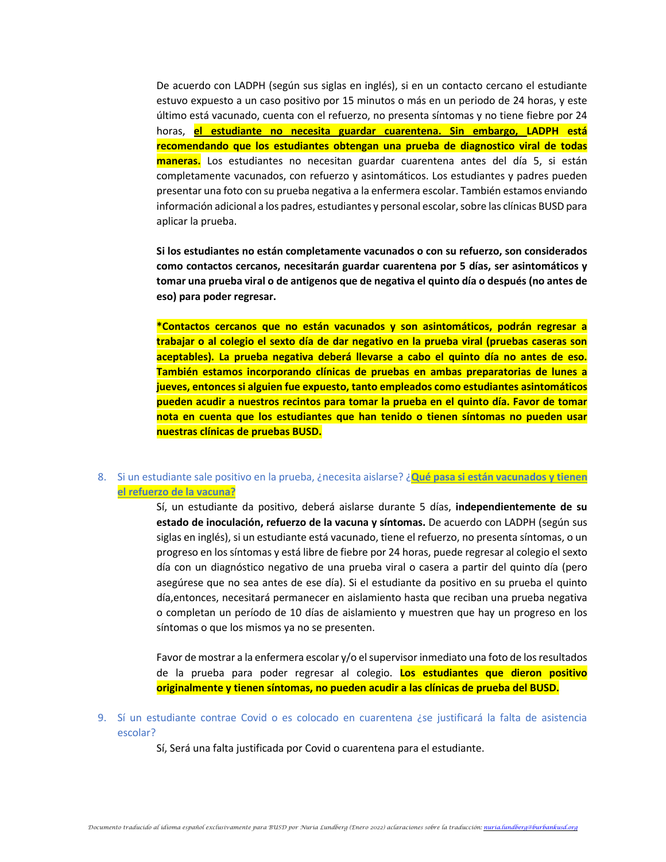De acuerdo con LADPH (según sus siglas en inglés), si en un contacto cercano el estudiante estuvo expuesto a un caso positivo por 15 minutos o más en un periodo de 24 horas, y este último está vacunado, cuenta con el refuerzo, no presenta síntomas y no tiene fiebre por 24 horas, **el estudiante no necesita guardar cuarentena. Sin embargo, LADPH está recomendando que los estudiantes obtengan una prueba de diagnostico viral de todas maneras.** Los estudiantes no necesitan guardar cuarentena antes del día 5, si están completamente vacunados, con refuerzo y asintomáticos. Los estudiantes y padres pueden presentar una foto con su prueba negativa a la enfermera escolar. También estamos enviando información adicional a los padres, estudiantes y personal escolar, sobre las clínicas BUSD para aplicar la prueba.

**Si los estudiantes no están completamente vacunados o con su refuerzo, son considerados como contactos cercanos, necesitarán guardar cuarentena por 5 días, ser asintomáticos y tomar una prueba viral o de antigenos que de negativa el quinto día o después (no antes de eso) para poder regresar.** 

**\*Contactos cercanos que no están vacunados y son asintomáticos, podrán regresar a trabajar o al colegio el sexto día de dar negativo en la prueba viral (pruebas caseras son aceptables). La prueba negativa deberá llevarse a cabo el quinto día no antes de eso. También estamos incorporando clínicas de pruebas en ambas preparatorias de lunes a jueves, entonces si alguien fue expuesto, tanto empleados como estudiantes asintomáticos pueden acudir a nuestros recintos para tomar la prueba en el quinto día. Favor de tomar nota en cuenta que los estudiantes que han tenido o tienen síntomas no pueden usar nuestras clínicas de pruebas BUSD.** 

### 8. Si un estudiante sale positivo en la prueba, ¿necesita aislarse? ¿**Qué pasa si están vacunados y tienen el refuerzo de la vacuna?**

Sí, un estudiante da positivo, deberá aislarse durante 5 días, **independientemente de su estado de inoculación, refuerzo de la vacuna y síntomas.** De acuerdo con LADPH (según sus siglas en inglés), si un estudiante está vacunado, tiene el refuerzo, no presenta síntomas, o un progreso en los síntomas y está libre de fiebre por 24 horas, puede regresar al colegio el sexto día con un diagnóstico negativo de una prueba viral o casera a partir del quinto día (pero asegúrese que no sea antes de ese día). Si el estudiante da positivo en su prueba el quinto día,entonces, necesitará permanecer en aislamiento hasta que reciban una prueba negativa o completan un período de 10 días de aislamiento y muestren que hay un progreso en los síntomas o que los mismos ya no se presenten.

Favor de mostrar a la enfermera escolar y/o el supervisor inmediato una foto de los resultados de la prueba para poder regresar al colegio. **Los estudiantes que dieron positivo originalmente y tienen síntomas, no pueden acudir a las clínicas de prueba del BUSD.** 

9. Sí un estudiante contrae Covid o es colocado en cuarentena ¿se justificará la falta de asistencia escolar?

Sí, Será una falta justificada por Covid o cuarentena para el estudiante.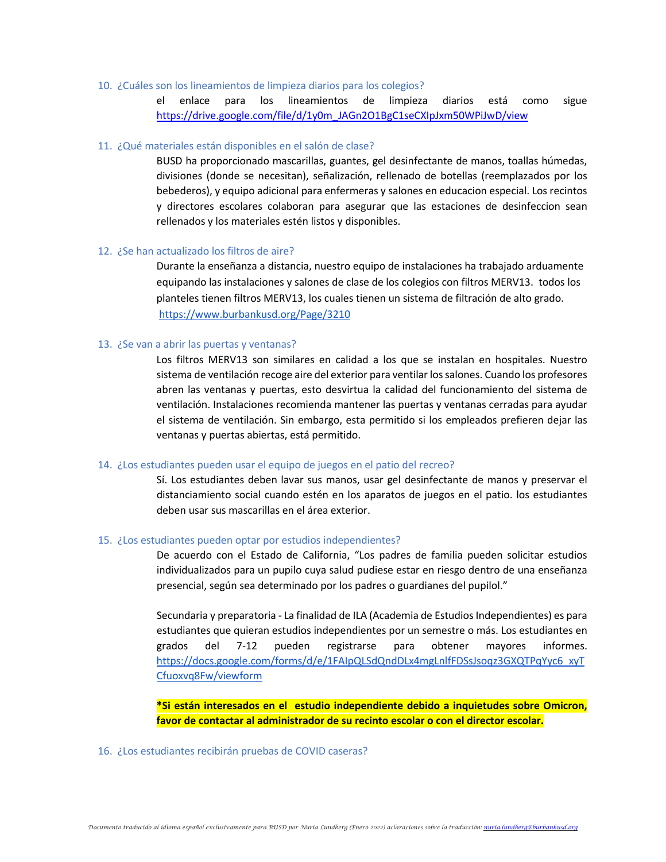#### 10. ¿Cuáles son los lineamientos de limpieza diarios para los colegios?

el enlace para los lineamientos de limpieza diarios está como sigue [https://drive.google.com/file/d/1y0m\\_JAGn2O1BgC1seCXIpJxm50WPiJwD/view](https://drive.google.com/file/d/1y0m_JAGn2O1BgC1seCXIpJxm50WPiJwD/view)

#### 11. ¿Qué materiales están disponibles en el salón de clase?

BUSD ha proporcionado mascarillas, guantes, gel desinfectante de manos, toallas húmedas, divisiones (donde se necesitan), señalización, rellenado de botellas (reemplazados por los bebederos), y equipo adicional para enfermeras y salones en educacion especial. Los recintos y directores escolares colaboran para asegurar que las estaciones de desinfeccion sean rellenados y los materiales estén listos y disponibles.

### 12. ¿Se han actualizado los filtros de aire?

Durante la enseñanza a distancia, nuestro equipo de instalaciones ha trabajado arduamente equipando las instalaciones y salones de clase de los colegios con filtros MERV13. todos los planteles tienen filtros MERV13, los cuales tienen un sistema de filtración de alto grado. <https://www.burbankusd.org/Page/3210>

### 13. ¿Se van a abrir las puertas y ventanas?

Los filtros MERV13 son similares en calidad a los que se instalan en hospitales. Nuestro sistema de ventilación recoge aire del exterior para ventilar los salones. Cuando los profesores abren las ventanas y puertas, esto desvirtua la calidad del funcionamiento del sistema de ventilación. Instalaciones recomienda mantener las puertas y ventanas cerradas para ayudar el sistema de ventilación. Sin embargo, esta permitido si los empleados prefieren dejar las ventanas y puertas abiertas, está permitido.

#### 14. ¿Los estudiantes pueden usar el equipo de juegos en el patio del recreo?

Sí. Los estudiantes deben lavar sus manos, usar gel desinfectante de manos y preservar el distanciamiento social cuando estén en los aparatos de juegos en el patio. los estudiantes deben usar sus mascarillas en el área exterior.

#### 15. ¿Los estudiantes pueden optar por estudios independientes?

De acuerdo con el Estado de California, "Los padres de familia pueden solicitar estudios individualizados para un pupilo cuya salud pudiese estar en riesgo dentro de una enseñanza presencial, según sea determinado por los padres o guardianes del pupilol."

Secundaria y preparatoria - La finalidad de ILA (Academia de Estudios Independientes) es para estudiantes que quieran estudios independientes por un semestre o más. Los estudiantes en grados del 7-12 pueden registrarse para obtener mayores informes. [https://docs.google.com/forms/d/e/1FAIpQLSdQndDLx4mgLnlfFDSsJsoqz3GXQTPqYyc6\\_xyT](https://docs.google.com/forms/d/e/1FAIpQLSdQndDLx4mgLnlfFDSsJsoqz3GXQTPqYyc6_xyTCfuoxvq8Fw/viewform) [Cfuoxvq8Fw/viewform](https://docs.google.com/forms/d/e/1FAIpQLSdQndDLx4mgLnlfFDSsJsoqz3GXQTPqYyc6_xyTCfuoxvq8Fw/viewform)

**\*Si están interesados en el estudio independiente debido a inquietudes sobre Omicron, favor de contactar al administrador de su recinto escolar o con el director escolar.**

### 16. ¿Los estudiantes recibirán pruebas de COVID caseras?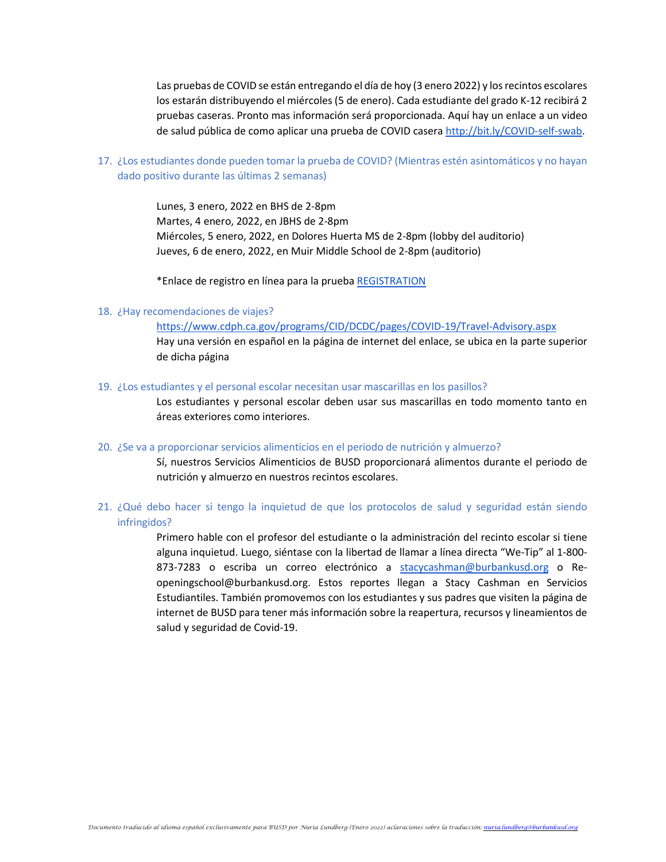Las pruebas de COVID se están entregando el día de hoy (3 enero 2022) y los recintos escolares los estarán distribuyendo el miércoles (5 de enero). Cada estudiante del grado K-12 recibirá 2 pruebas caseras. Pronto mas información será proporcionada. Aquí hay un enlace a un video de salud pública de como aplicar una prueba de COVID casera [http://bit.ly/COVID-self-swab.](http://bit.ly/COVID-self-swab)

17. ¿Los estudiantes donde pueden tomar la prueba de COVID? (Mientras estén asintomáticos y no hayan dado positivo durante las últimas 2 semanas)

> Lunes, 3 enero, 2022 en BHS de 2-8pm Martes, 4 enero, 2022, en JBHS de 2-8pm Miércoles, 5 enero, 2022, en Dolores Huerta MS de 2-8pm (lobby del auditorio) Jueves, 6 de enero, 2022, en Muir Middle School de 2-8pm (auditorio)

\*Enlace de registro en línea para la prueba [REGISTRATION](https://us-east-2.protection.sophos.com/?d=formdr.com&u=aHR0cHM6Ly9hcHAuZm9ybWRyLmNvbS9wcmFjdGljZS9NVFUyTmpNPS9mb3JtL0wwTDd1SERSX21uSWlLYkNweFlBcGdYVXVhOWFyN2F2&i=NWVhMGI5Y2JiMDIzNGIxMTk2NTMwZDYy&t=TXZ4N0Y0dGFQQWMzdWlUa2E3RnZ3RmFSOE5GTTcvNGdxZ0QwbXF1UGhkND0=&h=021447b90c57440f819beb79a1e29956)

### 18. ¿Hay recomendaciones de viajes?

<https://www.cdph.ca.gov/programs/CID/DCDC/pages/COVID-19/Travel-Advisory.aspx> Hay una versión en español en la página de internet del enlace, se ubica en la parte superior de dicha página

19. ¿Los estudiantes y el personal escolar necesitan usar mascarillas en los pasillos?

Los estudiantes y personal escolar deben usar sus mascarillas en todo momento tanto en áreas exteriores como interiores.

20. ¿Se va a proporcionar servicios alimenticios en el periodo de nutrición y almuerzo?

Sí, nuestros Servicios Alimenticios de BUSD proporcionará alimentos durante el periodo de nutrición y almuerzo en nuestros recintos escolares.

21. ¿Qué debo hacer si tengo la inquietud de que los protocolos de salud y seguridad están siendo infringidos?

> Primero hable con el profesor del estudiante o la administración del recinto escolar si tiene alguna inquietud. Luego, siéntase con la libertad de llamar a línea directa "We-Tip" al 1-800- 873-7283 o escriba un correo electrónico a [stacycashman@burbankusd.org](mailto:stacycashman@burbankusd.org) o Reopeningschool@burbankusd.org. Estos reportes llegan a Stacy Cashman en Servicios Estudiantiles. También promovemos con los estudiantes y sus padres que visiten la página de internet de BUSD para tener más información sobre la reapertura, recursos y lineamientos de salud y seguridad de Covid-19.